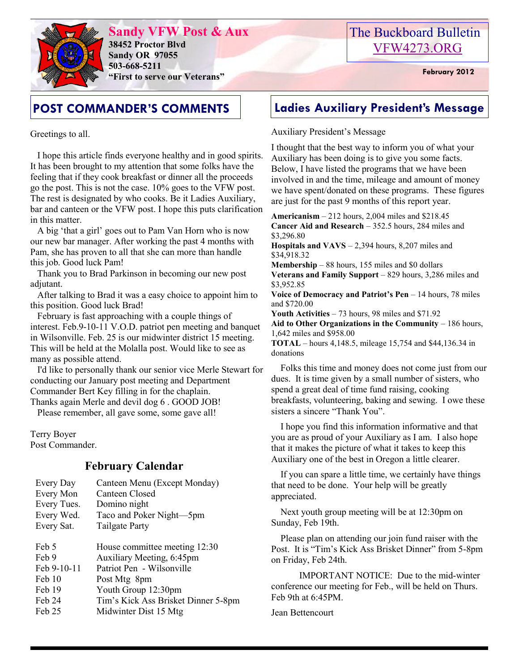

**Sandy VFW Post & Aux 38452 Proctor Blvd Sandy OR 97055 503-668-5211 "First to serve our Veterans" February 2012** 

# The Buckboard Bulletin [VFW4273.ORG](http://vfw4273.org/)

Greetings to all.

 I hope this article finds everyone healthy and in good spirits. It has been brought to my attention that some folks have the feeling that if they cook breakfast or dinner all the proceeds go the post. This is not the case. 10% goes to the VFW post. The rest is designated by who cooks. Be it Ladies Auxiliary, bar and canteen or the VFW post. I hope this puts clarification in this matter.

 A big 'that a girl' goes out to Pam Van Horn who is now our new bar manager. After working the past 4 months with Pam, she has proven to all that she can more than handle this job. Good luck Pam!

 Thank you to Brad Parkinson in becoming our new post adjutant.

 After talking to Brad it was a easy choice to appoint him to this position. Good luck Brad!

 February is fast approaching with a couple things of interest. Feb.9-10-11 V.O.D. patriot pen meeting and banquet in Wilsonville. Feb. 25 is our midwinter district 15 meeting. This will be held at the Molalla post. Would like to see as many as possible attend.

 I'd like to personally thank our senior vice Merle Stewart for conducting our January post meeting and Department Commander Bert Key filling in for the chaplain. Thanks again Merle and devil dog 6 . GOOD JOB!

Please remember, all gave some, some gave all!

Terry Boyer Post Commander.

## **February Calendar**

| Every Day   | Canteen Menu (Except Monday)        |
|-------------|-------------------------------------|
| Every Mon   | Canteen Closed                      |
| Every Tues. | Domino night                        |
| Every Wed.  | Taco and Poker Night-5pm            |
| Every Sat.  | <b>Tailgate Party</b>               |
|             |                                     |
| Feb 5       | House committee meeting 12:30       |
| Feb 9       | Auxiliary Meeting, 6:45pm           |
| Feb 9-10-11 | Patriot Pen - Wilsonville           |
| Feb 10      | Post Mtg 8pm                        |
| Feb 19      | Youth Group 12:30pm                 |
| Feb 24      | Tim's Kick Ass Brisket Dinner 5-8pm |
| Feb 25      | Midwinter Dist 15 Mtg               |
|             |                                     |

# **POST COMMANDER'S COMMENTS Ladies Auxiliary President's Message**

### Auxiliary President's Message

I thought that the best way to inform you of what your Auxiliary has been doing is to give you some facts. Below, I have listed the programs that we have been involved in and the time, mileage and amount of money we have spent/donated on these programs. These figures are just for the past 9 months of this report year.

**Americanism** – 212 hours, 2,004 miles and \$218.45 **Cancer Aid and Research** – 352.5 hours, 284 miles and \$3,296.80

**Hospitals and VAVS** – 2,394 hours, 8,207 miles and \$34,918.32

**Membership** – 88 hours, 155 miles and \$0 dollars **Veterans and Family Support** – 829 hours, 3,286 miles and \$3,952.85

**Voice of Democracy and Patriot's Pen** – 14 hours, 78 miles and \$720.00

**Youth Activities** – 73 hours, 98 miles and \$71.92

**Aid to Other Organizations in the Community** – 186 hours, 1,642 miles and \$958.00

**TOTAL** – hours 4,148.5, mileage 15,754 and \$44,136.34 in donations

 Folks this time and money does not come just from our dues. It is time given by a small number of sisters, who spend a great deal of time fund raising, cooking breakfasts, volunteering, baking and sewing. I owe these sisters a sincere "Thank You".

 I hope you find this information informative and that you are as proud of your Auxiliary as I am. I also hope that it makes the picture of what it takes to keep this Auxiliary one of the best in Oregon a little clearer.

 If you can spare a little time, we certainly have things that need to be done. Your help will be greatly appreciated.

 Next youth group meeting will be at 12:30pm on Sunday, Feb 19th.

 Please plan on attending our join fund raiser with the Post. It is "Tim's Kick Ass Brisket Dinner" from 5-8pm on Friday, Feb 24th.

 IMPORTANT NOTICE: Due to the mid-winter conference our meeting for Feb., will be held on Thurs. Feb 9th at 6:45PM.

Jean Bettencourt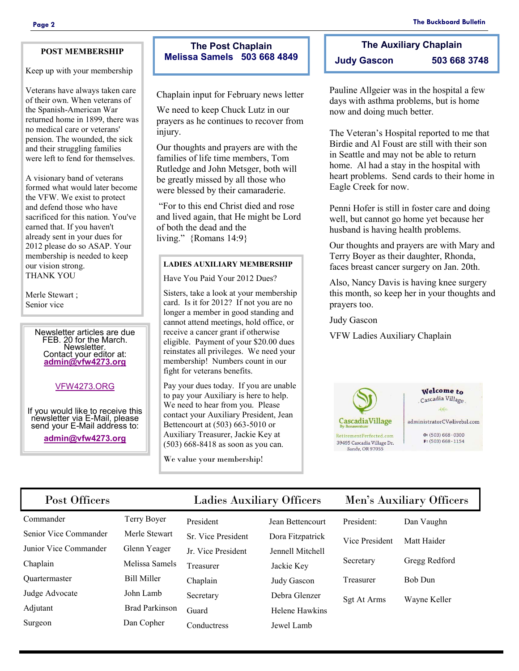#### **POST MEMBERSHIP**

Keep up with your membership

Veterans have always taken care of their own. When veterans of the Spanish-American War returned home in 1899, there was no medical care or veterans' pension. The wounded, the sick and their struggling families were left to fend for themselves.

A visionary band of veterans formed what would later become the VFW. We exist to protect and defend those who have sacrificed for this nation. You've earned that. If you haven't already sent in your dues for 2012 please do so ASAP. Your membership is needed to keep our vision strong. THANK YOU

Merle Stewart ; Senior vice

> Newsletter articles are due FEB. 20 for the March. Newsletter. Contact your editor at: **[admin@vfw4273.org](mailto:admin@vfw4273.org)**

### [VFW4273.ORG](http://vfw4273.org/)

If you would like to receive this newsletter via E-Mail, please send your E-Mail address to:

**[admin@vfw4273.org](mailto:admin@vfw4273.org)**

## **The Post Chaplain Melissa Samels 503 668 4849**

Chaplain input for February news letter

We need to keep Chuck Lutz in our prayers as he continues to recover from injury.

Our thoughts and prayers are with the families of life time members, Tom Rutledge and John Metsger, both will be greatly missed by all those who were blessed by their camaraderie.

"For to this end Christ died and rose and lived again, that He might be Lord of both the dead and the living." {Romans 14:9}

#### **LADIES AUXILIARY MEMBERSHIP**

Have You Paid Your 2012 Dues?

Sisters, take a look at your membership card. Is it for 2012? If not you are no longer a member in good standing and cannot attend meetings, hold office, or receive a cancer grant if otherwise eligible. Payment of your \$20.00 dues reinstates all privileges. We need your membership! Numbers count in our fight for veterans benefits.

Pay your dues today. If you are unable to pay your Auxiliary is here to help. We need to hear from you. Please contact your Auxiliary President, Jean Bettencourt at (503) 663-5010 or Auxiliary Treasurer, Jackie Key at (503) 668-8418 as soon as you can.

We value your membership!

# **The Auxiliary Chaplain Judy Gascon 503 668 3748**

Pauline Allgeier was in the hospital a few days with asthma problems, but is home now and doing much better.

The Veteran's Hospital reported to me that Birdie and Al Foust are still with their son in Seattle and may not be able to return home. Al had a stay in the hospital with heart problems. Send cards to their home in Eagle Creek for now.

Penni Hofer is still in foster care and doing well, but cannot go home yet because her husband is having health problems.

Our thoughts and prayers are with Mary and Terry Boyer as their daughter, Rhonda, faces breast cancer surgery on Jan. 20th.

Also, Nancy Davis is having knee surgery this month, so keep her in your thoughts and prayers too.

Judy Gascon

VFW Ladies Auxiliary Chaplain



Welcome to Cascadia Village

 $460$ administratorCV@livebsl.com

> $O: (503) 668 - 0300$  $F: (503) 668 - 1154$

## Post Officers Ladies Auxiliary Officers Men's Auxiliary Officers

| President:                 | Dan Vaughn    |
|----------------------------|---------------|
| Vice President Matt Haider |               |
| Secretary                  | Gregg Redford |
| Treasurer                  | Bob Dun       |

- Senior Vice Commander Merle Stewart Junior Vice Commander Glenn Yeager Chaplain Melissa Samels Quartermaster Bill Miller Judge Advocate John Lamb Adjutant Brad Parkinson
- Commander Terry Boyer Surgeon Dan Copher

President Jean Bettencourt Treasurer Jackie Key Chaplain Judy Gascon Secretary Debra Glenzer Conductress Jewel Lamb

Sr. Vice President Dora Fitzpatrick Jr. Vice President Jennell Mitchell Guard Helene Hawkins

| President:     | Dan Vaughn     |
|----------------|----------------|
| Vice President | Matt Haider    |
| Secretary      | Gregg Redford  |
| Treasurer      | <b>Bob Dun</b> |
| Sgt At Arms    | Wayne Keller   |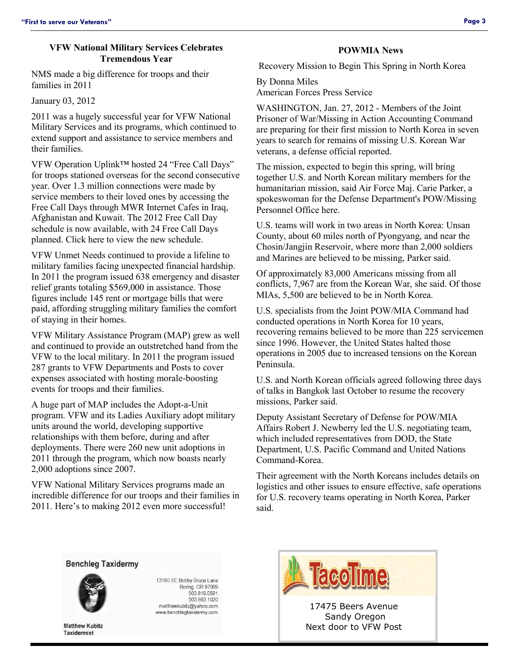#### **VFW National Military Services Celebrates Tremendous Year**

NMS made a big difference for troops and their families in 2011

January 03, 2012

2011 was a hugely successful year for VFW National Military Services and its programs, which continued to extend support and assistance to service members and their families.

VFW Operation Uplink™ hosted 24 "Free Call Days" for troops stationed overseas for the second consecutive year. Over 1.3 million connections were made by service members to their loved ones by accessing the Free Call Days through MWR Internet Cafes in Iraq, Afghanistan and Kuwait. The 2012 Free Call Day schedule is now available, with 24 Free Call Days planned. Click here to view the new schedule.

VFW Unmet Needs continued to provide a lifeline to military families facing unexpected financial hardship. In 2011 the program issued 638 emergency and disaster relief grants totaling \$569,000 in assistance. Those figures include 145 rent or mortgage bills that were paid, affording struggling military families the comfort of staying in their homes.

VFW Military Assistance Program (MAP) grew as well and continued to provide an outstretched hand from the VFW to the local military. In 2011 the program issued 287 grants to VFW Departments and Posts to cover expenses associated with hosting morale-boosting events for troops and their families.

A huge part of MAP includes the Adopt-a-Unit program. VFW and its Ladies Auxiliary adopt military units around the world, developing supportive relationships with them before, during and after deployments. There were 260 new unit adoptions in 2011 through the program, which now boasts nearly 2,000 adoptions since 2007.

VFW National Military Services programs made an incredible difference for our troops and their families in 2011. Here's to making 2012 even more successful!

#### **POWMIA News**

Recovery Mission to Begin This Spring in North Korea

By Donna Miles

American Forces Press Service

WASHINGTON, Jan. 27, 2012 - Members of the Joint Prisoner of War/Missing in Action Accounting Command are preparing for their first mission to North Korea in seven years to search for remains of missing U.S. Korean War veterans, a defense official reported.

The mission, expected to begin this spring, will bring together U.S. and North Korean military members for the humanitarian mission, said Air Force Maj. Carie Parker, a spokeswoman for the Defense Department's POW/Missing Personnel Office here.

U.S. teams will work in two areas in North Korea: Unsan County, about 60 miles north of Pyongyang, and near the Chosin/Jangjin Reservoir, where more than 2,000 soldiers and Marines are believed to be missing, Parker said.

Of approximately 83,000 Americans missing from all conflicts, 7,967 are from the Korean War, she said. Of those MIAs, 5,500 are believed to be in North Korea.

U.S. specialists from the Joint POW/MIA Command had conducted operations in North Korea for 10 years, recovering remains believed to be more than 225 servicemen since 1996. However, the United States halted those operations in 2005 due to increased tensions on the Korean Peninsula.

U.S. and North Korean officials agreed following three days of talks in Bangkok last October to resume the recovery missions, Parker said.

Deputy Assistant Secretary of Defense for POW/MIA Affairs Robert J. Newberry led the U.S. negotiating team, which included representatives from DOD, the State Department, U.S. Pacific Command and United Nations Command-Korea.

Their agreement with the North Koreans includes details on logistics and other issues to ensure effective, safe operations for U.S. recovery teams operating in North Korea, Parker said.

#### **Benchleg Taxidermy**



**Matthew Kubitz Taxidermist** 

13160 SE Bobby Bruce Lane Boring, OR 97009 503.819.0591 503.663.1020 matthewkubitz@yahoo.com www.benchlegtaxidermy.com



17475 Beers Avenue Sandy Oregon Next door to VFW Post